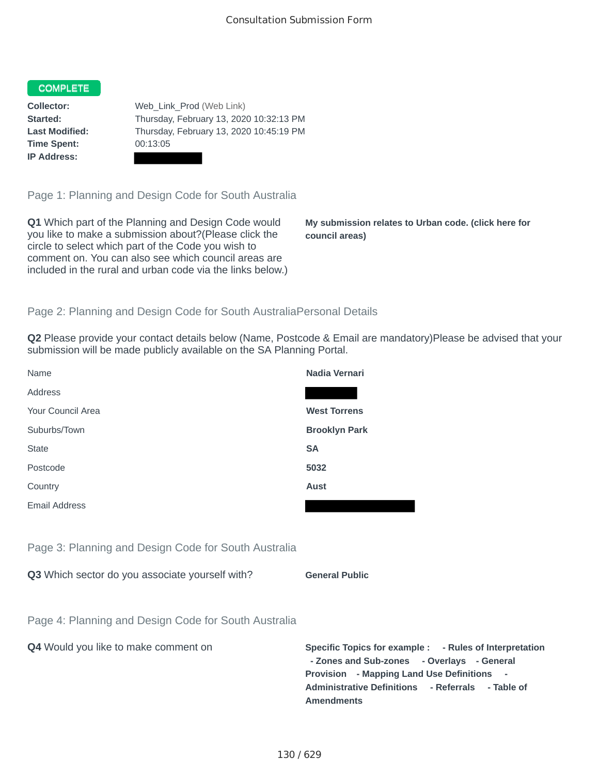## **COMPLETE**

**Time Spent:** 00:13:05 **IP Address:**

**Collector:** Web Link Prod (Web Link) **Started:** Thursday, February 13, 2020 10:32:13 PM **Last Modified:** Thursday, February 13, 2020 10:45:19 PM

Page 1: Planning and Design Code for South Australia

**Q1** Which part of the Planning and Design Code would you like to make a submission about?(Please click the circle to select which part of the Code you wish to comment on. You can also see which council areas are included in the rural and urban code via the links below.)

**My submission relates to Urban code. (click here for council areas)**

## Page 2: Planning and Design Code for South AustraliaPersonal Details

**Q2** Please provide your contact details below (Name, Postcode & Email are mandatory)Please be advised that your submission will be made publicly available on the SA Planning Portal.

| Name                                                 | Nadia Vernari        |
|------------------------------------------------------|----------------------|
| Address                                              |                      |
| Your Council Area                                    | <b>West Torrens</b>  |
| Suburbs/Town                                         | <b>Brooklyn Park</b> |
| <b>State</b>                                         | <b>SA</b>            |
| Postcode                                             | 5032                 |
| Country                                              | Aust                 |
| <b>Email Address</b>                                 |                      |
|                                                      |                      |
| Page 3: Planning and Design Code for South Australia |                      |

**Q3** Which sector do you associate yourself with? **General Public** 

|  | <b>General Public</b> |  |
|--|-----------------------|--|
|  |                       |  |

Page 4: Planning and Design Code for South Australia

**Q4** Would you like to make comment on **Specific Topics for example : - Rules of Interpretation** 

**- Zones and Sub-zones - Overlays - General Provision - Mapping Land Use Definitions - Administrative Definitions - Referrals - Table of Amendments**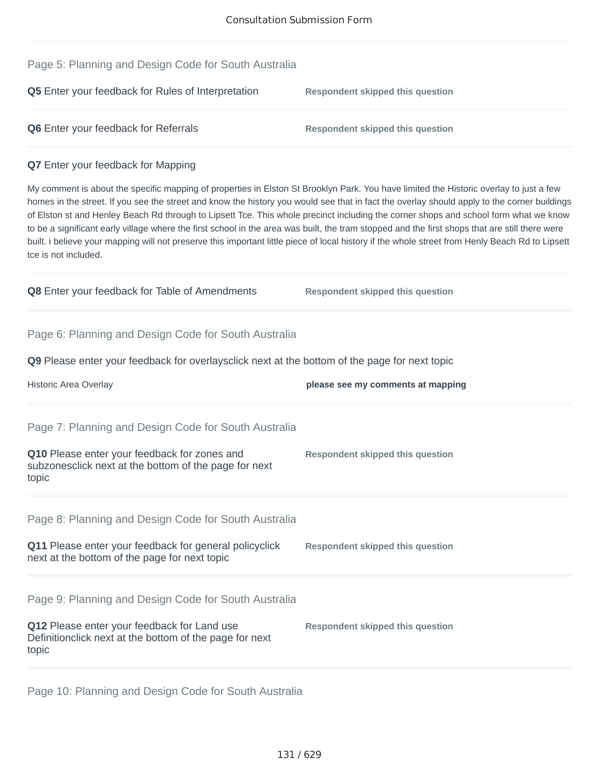| Page 5: Planning and Design Code for South Australia                                                                                                                                                                                                                                                                                                                                                                                                                                                                                                                                                                                                                                                                                                       |                                         |
|------------------------------------------------------------------------------------------------------------------------------------------------------------------------------------------------------------------------------------------------------------------------------------------------------------------------------------------------------------------------------------------------------------------------------------------------------------------------------------------------------------------------------------------------------------------------------------------------------------------------------------------------------------------------------------------------------------------------------------------------------------|-----------------------------------------|
| Q5 Enter your feedback for Rules of Interpretation                                                                                                                                                                                                                                                                                                                                                                                                                                                                                                                                                                                                                                                                                                         | <b>Respondent skipped this question</b> |
| Q6 Enter your feedback for Referrals                                                                                                                                                                                                                                                                                                                                                                                                                                                                                                                                                                                                                                                                                                                       | <b>Respondent skipped this question</b> |
| <b>Q7</b> Enter your feedback for Mapping                                                                                                                                                                                                                                                                                                                                                                                                                                                                                                                                                                                                                                                                                                                  |                                         |
| My comment is about the specific mapping of properties in Elston St Brooklyn Park. You have limited the Historic overlay to just a few<br>homes in the street. If you see the street and know the history you would see that in fact the overlay should apply to the corner buildings<br>of Elston st and Henley Beach Rd through to Lipsett Tce. This whole precinct including the corner shops and school form what we know<br>to be a significant early village where the first school in the area was built, the tram stopped and the first shops that are still there were<br>built. i believe your mapping will not preserve this important little piece of local history if the whole street from Henly Beach Rd to Lipsett<br>tce is not included. |                                         |
| Q8 Enter your feedback for Table of Amendments                                                                                                                                                                                                                                                                                                                                                                                                                                                                                                                                                                                                                                                                                                             | <b>Respondent skipped this question</b> |
| Page 6: Planning and Design Code for South Australia                                                                                                                                                                                                                                                                                                                                                                                                                                                                                                                                                                                                                                                                                                       |                                         |
| <b>Q9</b> Please enter your feedback for overlaysclick next at the bottom of the page for next topic                                                                                                                                                                                                                                                                                                                                                                                                                                                                                                                                                                                                                                                       |                                         |
| Historic Area Overlay                                                                                                                                                                                                                                                                                                                                                                                                                                                                                                                                                                                                                                                                                                                                      | please see my comments at mapping       |
| Page 7: Planning and Design Code for South Australia                                                                                                                                                                                                                                                                                                                                                                                                                                                                                                                                                                                                                                                                                                       |                                         |
| Q10 Please enter your feedback for zones and<br>subzonesclick next at the bottom of the page for next<br>topic                                                                                                                                                                                                                                                                                                                                                                                                                                                                                                                                                                                                                                             | <b>Respondent skipped this question</b> |
| Page 8: Planning and Design Code for South Australia                                                                                                                                                                                                                                                                                                                                                                                                                                                                                                                                                                                                                                                                                                       |                                         |
| Q11 Please enter your feedback for general policyclick<br>next at the bottom of the page for next topic                                                                                                                                                                                                                                                                                                                                                                                                                                                                                                                                                                                                                                                    | <b>Respondent skipped this question</b> |
| Page 9: Planning and Design Code for South Australia                                                                                                                                                                                                                                                                                                                                                                                                                                                                                                                                                                                                                                                                                                       |                                         |
| Q12 Please enter your feedback for Land use<br>Definitionclick next at the bottom of the page for next<br>topic                                                                                                                                                                                                                                                                                                                                                                                                                                                                                                                                                                                                                                            | <b>Respondent skipped this question</b> |

Page 10: Planning and Design Code for South Australia